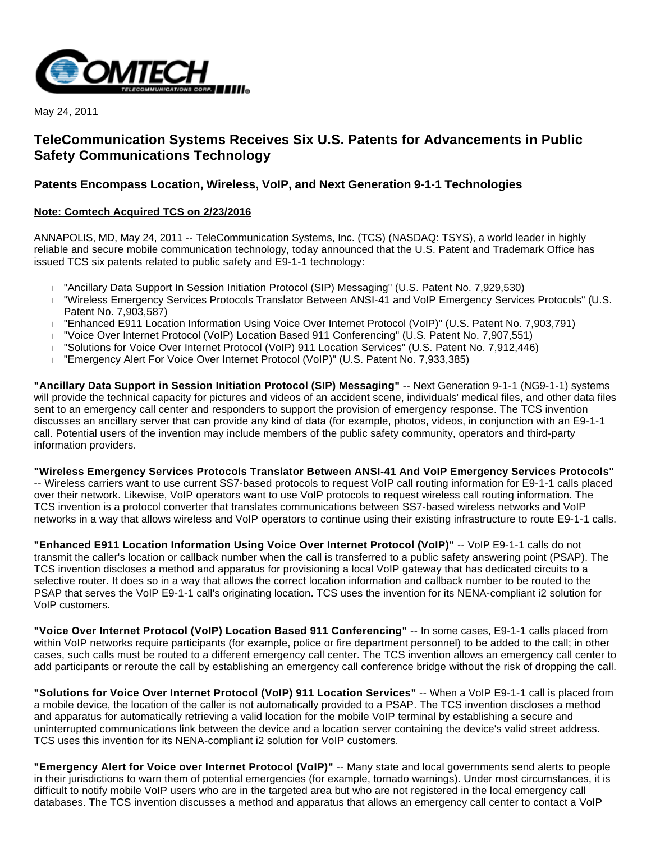

May 24, 2011

# **TeleCommunication Systems Receives Six U.S. Patents for Advancements in Public Safety Communications Technology**

# **Patents Encompass Location, Wireless, VoIP, and Next Generation 9-1-1 Technologies**

## **Note: Comtech Acquired TCS on 2/23/2016**

ANNAPOLIS, MD, May 24, 2011 -- TeleCommunication Systems, Inc. (TCS) (NASDAQ: TSYS), a world leader in highly reliable and secure mobile communication technology, today announced that the U.S. Patent and Trademark Office has issued TCS six patents related to public safety and E9-1-1 technology:

- "Ancillary Data Support In Session Initiation Protocol (SIP) Messaging" (U.S. Patent No. 7,929,530)
- "Wireless Emergency Services Protocols Translator Between ANSI-41 and VoIP Emergency Services Protocols" (U.S. Patent No. 7,903,587)
- "Enhanced E911 Location Information Using Voice Over Internet Protocol (VoIP)" (U.S. Patent No. 7,903,791)
- "Voice Over Internet Protocol (VoIP) Location Based 911 Conferencing" (U.S. Patent No. 7,907,551)
- "Solutions for Voice Over Internet Protocol (VoIP) 911 Location Services" (U.S. Patent No. 7,912,446)
- "Emergency Alert For Voice Over Internet Protocol (VoIP)" (U.S. Patent No. 7,933,385)

**"Ancillary Data Support in Session Initiation Protocol (SIP) Messaging"** -- Next Generation 9-1-1 (NG9-1-1) systems will provide the technical capacity for pictures and videos of an accident scene, individuals' medical files, and other data files sent to an emergency call center and responders to support the provision of emergency response. The TCS invention discusses an ancillary server that can provide any kind of data (for example, photos, videos, in conjunction with an E9-1-1 call. Potential users of the invention may include members of the public safety community, operators and third-party information providers.

**"Wireless Emergency Services Protocols Translator Between ANSI-41 And VoIP Emergency Services Protocols"** -- Wireless carriers want to use current SS7-based protocols to request VoIP call routing information for E9-1-1 calls placed over their network. Likewise, VoIP operators want to use VoIP protocols to request wireless call routing information. The TCS invention is a protocol converter that translates communications between SS7-based wireless networks and VoIP networks in a way that allows wireless and VoIP operators to continue using their existing infrastructure to route E9-1-1 calls.

**"Enhanced E911 Location Information Using Voice Over Internet Protocol (VoIP)"** -- VoIP E9-1-1 calls do not transmit the caller's location or callback number when the call is transferred to a public safety answering point (PSAP). The TCS invention discloses a method and apparatus for provisioning a local VoIP gateway that has dedicated circuits to a selective router. It does so in a way that allows the correct location information and callback number to be routed to the PSAP that serves the VoIP E9-1-1 call's originating location. TCS uses the invention for its NENA-compliant i2 solution for VoIP customers.

**"Voice Over Internet Protocol (VoIP) Location Based 911 Conferencing"** -- In some cases, E9-1-1 calls placed from within VoIP networks require participants (for example, police or fire department personnel) to be added to the call; in other cases, such calls must be routed to a different emergency call center. The TCS invention allows an emergency call center to add participants or reroute the call by establishing an emergency call conference bridge without the risk of dropping the call.

**"Solutions for Voice Over Internet Protocol (VoIP) 911 Location Services"** -- When a VoIP E9-1-1 call is placed from a mobile device, the location of the caller is not automatically provided to a PSAP. The TCS invention discloses a method and apparatus for automatically retrieving a valid location for the mobile VoIP terminal by establishing a secure and uninterrupted communications link between the device and a location server containing the device's valid street address. TCS uses this invention for its NENA-compliant i2 solution for VoIP customers.

**"Emergency Alert for Voice over Internet Protocol (VoIP)"** -- Many state and local governments send alerts to people in their jurisdictions to warn them of potential emergencies (for example, tornado warnings). Under most circumstances, it is difficult to notify mobile VoIP users who are in the targeted area but who are not registered in the local emergency call databases. The TCS invention discusses a method and apparatus that allows an emergency call center to contact a VoIP